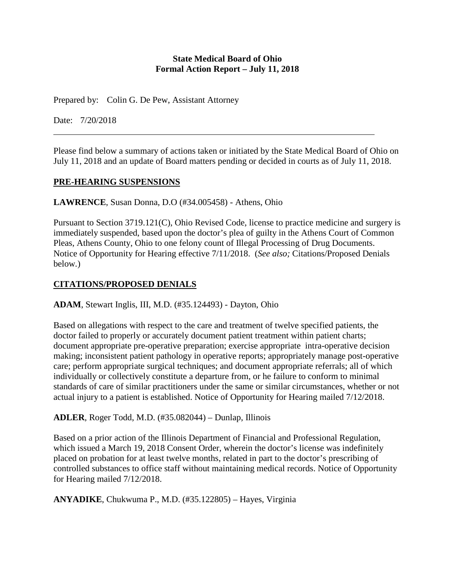### **State Medical Board of Ohio Formal Action Report – July 11, 2018**

Prepared by: Colin G. De Pew, Assistant Attorney

Date: 7/20/2018

Please find below a summary of actions taken or initiated by the State Medical Board of Ohio on July 11, 2018 and an update of Board matters pending or decided in courts as of July 11, 2018.

## **PRE-HEARING SUSPENSIONS**

**LAWRENCE**, Susan Donna, D.O (#34.005458) - Athens, Ohio

Pursuant to Section 3719.121(C), Ohio Revised Code, license to practice medicine and surgery is immediately suspended, based upon the doctor's plea of guilty in the Athens Court of Common Pleas, Athens County, Ohio to one felony count of Illegal Processing of Drug Documents. Notice of Opportunity for Hearing effective 7/11/2018. (*See also;* Citations/Proposed Denials below*.*)

## **CITATIONS/PROPOSED DENIALS**

**ADAM**, Stewart Inglis, III, M.D. (#35.124493) - Dayton, Ohio

Based on allegations with respect to the care and treatment of twelve specified patients, the doctor failed to properly or accurately document patient treatment within patient charts; document appropriate pre-operative preparation; exercise appropriate intra-operative decision making; inconsistent patient pathology in operative reports; appropriately manage post-operative care; perform appropriate surgical techniques; and document appropriate referrals; all of which individually or collectively constitute a departure from, or he failure to conform to minimal standards of care of similar practitioners under the same or similar circumstances, whether or not actual injury to a patient is established. Notice of Opportunity for Hearing mailed 7/12/2018.

**ADLER**, Roger Todd, M.D. (#35.082044) – Dunlap, Illinois

Based on a prior action of the Illinois Department of Financial and Professional Regulation, which issued a March 19, 2018 Consent Order, wherein the doctor's license was indefinitely placed on probation for at least twelve months, related in part to the doctor's prescribing of controlled substances to office staff without maintaining medical records. Notice of Opportunity for Hearing mailed 7/12/2018.

**ANYADIKE**, Chukwuma P., M.D. (#35.122805) – Hayes, Virginia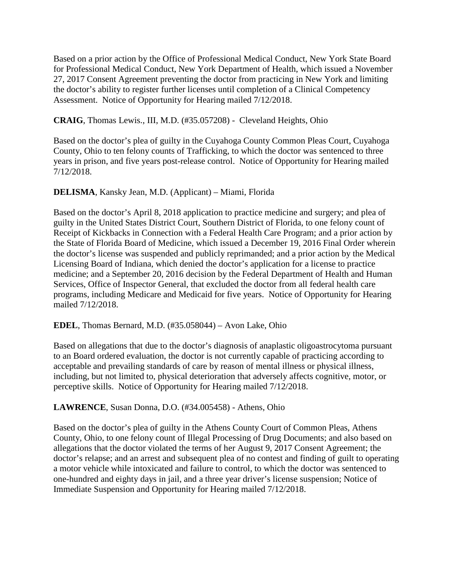Based on a prior action by the Office of Professional Medical Conduct, New York State Board for Professional Medical Conduct, New York Department of Health, which issued a November 27, 2017 Consent Agreement preventing the doctor from practicing in New York and limiting the doctor's ability to register further licenses until completion of a Clinical Competency Assessment. Notice of Opportunity for Hearing mailed 7/12/2018.

**CRAIG**, Thomas Lewis., III, M.D. (#35.057208) - Cleveland Heights, Ohio

Based on the doctor's plea of guilty in the Cuyahoga County Common Pleas Court, Cuyahoga County, Ohio to ten felony counts of Trafficking, to which the doctor was sentenced to three years in prison, and five years post-release control. Notice of Opportunity for Hearing mailed 7/12/2018.

### **DELISMA**, Kansky Jean, M.D. (Applicant) – Miami, Florida

Based on the doctor's April 8, 2018 application to practice medicine and surgery; and plea of guilty in the United States District Court, Southern District of Florida, to one felony count of Receipt of Kickbacks in Connection with a Federal Health Care Program; and a prior action by the State of Florida Board of Medicine, which issued a December 19, 2016 Final Order wherein the doctor's license was suspended and publicly reprimanded; and a prior action by the Medical Licensing Board of Indiana, which denied the doctor's application for a license to practice medicine; and a September 20, 2016 decision by the Federal Department of Health and Human Services, Office of Inspector General, that excluded the doctor from all federal health care programs, including Medicare and Medicaid for five years. Notice of Opportunity for Hearing mailed 7/12/2018.

#### **EDEL**, Thomas Bernard, M.D. (#35.058044) – Avon Lake, Ohio

Based on allegations that due to the doctor's diagnosis of anaplastic oligoastrocytoma pursuant to an Board ordered evaluation, the doctor is not currently capable of practicing according to acceptable and prevailing standards of care by reason of mental illness or physical illness, including, but not limited to, physical deterioration that adversely affects cognitive, motor, or perceptive skills. Notice of Opportunity for Hearing mailed 7/12/2018.

## **LAWRENCE**, Susan Donna, D.O. (#34.005458) - Athens, Ohio

Based on the doctor's plea of guilty in the Athens County Court of Common Pleas, Athens County, Ohio, to one felony count of Illegal Processing of Drug Documents; and also based on allegations that the doctor violated the terms of her August 9, 2017 Consent Agreement; the doctor's relapse; and an arrest and subsequent plea of no contest and finding of guilt to operating a motor vehicle while intoxicated and failure to control, to which the doctor was sentenced to one-hundred and eighty days in jail, and a three year driver's license suspension; Notice of Immediate Suspension and Opportunity for Hearing mailed 7/12/2018.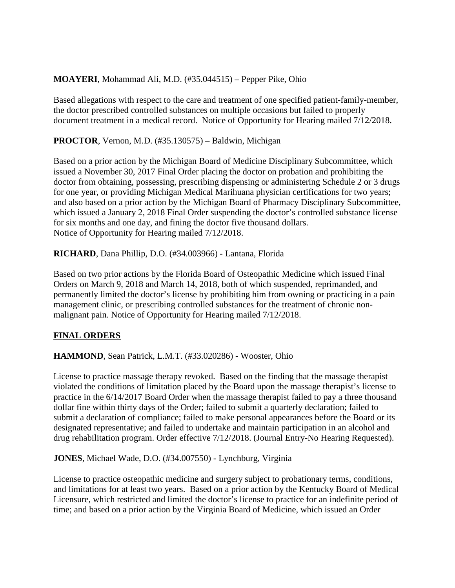## **MOAYERI**, Mohammad Ali, M.D. (#35.044515) – Pepper Pike, Ohio

Based allegations with respect to the care and treatment of one specified patient-family-member, the doctor prescribed controlled substances on multiple occasions but failed to properly document treatment in a medical record. Notice of Opportunity for Hearing mailed 7/12/2018.

**PROCTOR**, Vernon, M.D. (#35.130575) – Baldwin, Michigan

Based on a prior action by the Michigan Board of Medicine Disciplinary Subcommittee, which issued a November 30, 2017 Final Order placing the doctor on probation and prohibiting the doctor from obtaining, possessing, prescribing dispensing or administering Schedule 2 or 3 drugs for one year, or providing Michigan Medical Marihuana physician certifications for two years; and also based on a prior action by the Michigan Board of Pharmacy Disciplinary Subcommittee, which issued a January 2, 2018 Final Order suspending the doctor's controlled substance license for six months and one day, and fining the doctor five thousand dollars. Notice of Opportunity for Hearing mailed 7/12/2018.

**RICHARD**, Dana Phillip, D.O. (#34.003966) - Lantana, Florida

Based on two prior actions by the Florida Board of Osteopathic Medicine which issued Final Orders on March 9, 2018 and March 14, 2018, both of which suspended, reprimanded, and permanently limited the doctor's license by prohibiting him from owning or practicing in a pain management clinic, or prescribing controlled substances for the treatment of chronic nonmalignant pain. Notice of Opportunity for Hearing mailed 7/12/2018.

# **FINAL ORDERS**

**HAMMOND**, Sean Patrick, L.M.T. (#33.020286) - Wooster, Ohio

License to practice massage therapy revoked. Based on the finding that the massage therapist violated the conditions of limitation placed by the Board upon the massage therapist's license to practice in the 6/14/2017 Board Order when the massage therapist failed to pay a three thousand dollar fine within thirty days of the Order; failed to submit a quarterly declaration; failed to submit a declaration of compliance; failed to make personal appearances before the Board or its designated representative; and failed to undertake and maintain participation in an alcohol and drug rehabilitation program. Order effective 7/12/2018. (Journal Entry-No Hearing Requested).

**JONES**, Michael Wade, D.O. (#34.007550) - Lynchburg, Virginia

License to practice osteopathic medicine and surgery subject to probationary terms, conditions, and limitations for at least two years. Based on a prior action by the Kentucky Board of Medical Licensure, which restricted and limited the doctor's license to practice for an indefinite period of time; and based on a prior action by the Virginia Board of Medicine, which issued an Order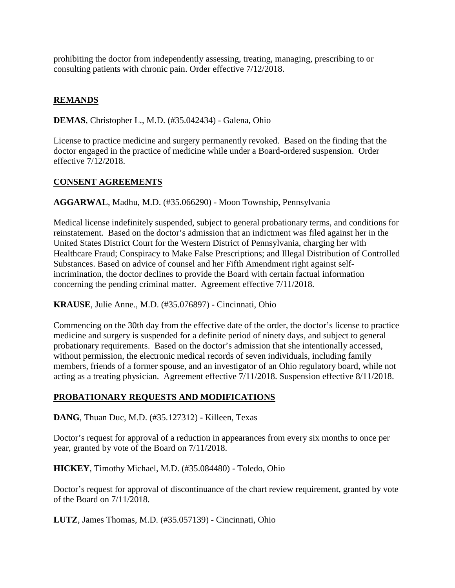prohibiting the doctor from independently assessing, treating, managing, prescribing to or consulting patients with chronic pain. Order effective 7/12/2018.

## **REMANDS**

**DEMAS**, Christopher L., M.D. (#35.042434) - Galena, Ohio

License to practice medicine and surgery permanently revoked. Based on the finding that the doctor engaged in the practice of medicine while under a Board-ordered suspension. Order effective 7/12/2018.

### **CONSENT AGREEMENTS**

**AGGARWAL**, Madhu, M.D. (#35.066290) - Moon Township, Pennsylvania

Medical license indefinitely suspended, subject to general probationary terms, and conditions for reinstatement. Based on the doctor's admission that an indictment was filed against her in the United States District Court for the Western District of Pennsylvania, charging her with Healthcare Fraud; Conspiracy to Make False Prescriptions; and Illegal Distribution of Controlled Substances. Based on advice of counsel and her Fifth Amendment right against selfincrimination, the doctor declines to provide the Board with certain factual information concerning the pending criminal matter. Agreement effective 7/11/2018.

**KRAUSE**, Julie Anne., M.D. (#35.076897) - Cincinnati, Ohio

Commencing on the 30th day from the effective date of the order, the doctor's license to practice medicine and surgery is suspended for a definite period of ninety days, and subject to general probationary requirements. Based on the doctor's admission that she intentionally accessed, without permission, the electronic medical records of seven individuals, including family members, friends of a former spouse, and an investigator of an Ohio regulatory board, while not acting as a treating physician. Agreement effective 7/11/2018. Suspension effective 8/11/2018.

## **PROBATIONARY REQUESTS AND MODIFICATIONS**

**DANG**, Thuan Duc, M.D. (#35.127312) - Killeen, Texas

Doctor's request for approval of a reduction in appearances from every six months to once per year, granted by vote of the Board on 7/11/2018.

**HICKEY**, Timothy Michael, M.D. (#35.084480) - Toledo, Ohio

Doctor's request for approval of discontinuance of the chart review requirement, granted by vote of the Board on 7/11/2018.

**LUTZ**, James Thomas, M.D. (#35.057139) - Cincinnati, Ohio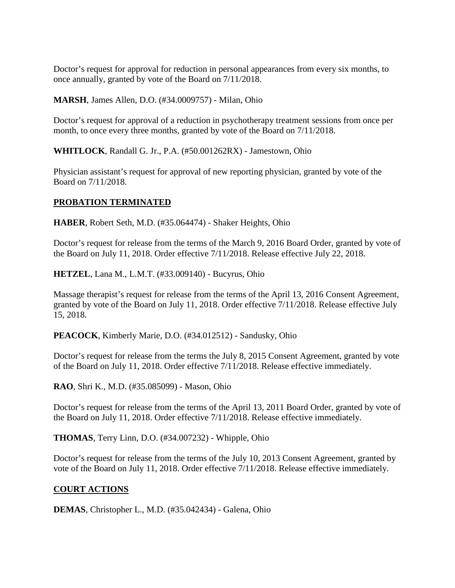Doctor's request for approval for reduction in personal appearances from every six months, to once annually, granted by vote of the Board on 7/11/2018.

### **MARSH**, James Allen, D.O. (#34.0009757) - Milan, Ohio

Doctor's request for approval of a reduction in psychotherapy treatment sessions from once per month, to once every three months, granted by vote of the Board on 7/11/2018.

**WHITLOCK**, Randall G. Jr., P.A. (#50.001262RX) - Jamestown, Ohio

Physician assistant's request for approval of new reporting physician, granted by vote of the Board on 7/11/2018.

## **PROBATION TERMINATED**

**HABER**, Robert Seth, M.D. (#35.064474) - Shaker Heights, Ohio

Doctor's request for release from the terms of the March 9, 2016 Board Order, granted by vote of the Board on July 11, 2018. Order effective 7/11/2018. Release effective July 22, 2018.

**HETZEL**, Lana M., L.M.T. (#33.009140) - Bucyrus, Ohio

Massage therapist's request for release from the terms of the April 13, 2016 Consent Agreement, granted by vote of the Board on July 11, 2018. Order effective 7/11/2018. Release effective July 15, 2018.

**PEACOCK**, Kimberly Marie, D.O. (#34.012512) - Sandusky, Ohio

Doctor's request for release from the terms the July 8, 2015 Consent Agreement, granted by vote of the Board on July 11, 2018. Order effective 7/11/2018. Release effective immediately.

**RAO**, Shri K., M.D. (#35.085099) - Mason, Ohio

Doctor's request for release from the terms of the April 13, 2011 Board Order, granted by vote of the Board on July 11, 2018. Order effective 7/11/2018. Release effective immediately.

**THOMAS**, Terry Linn, D.O. (#34.007232) - Whipple, Ohio

Doctor's request for release from the terms of the July 10, 2013 Consent Agreement, granted by vote of the Board on July 11, 2018. Order effective 7/11/2018. Release effective immediately.

# **COURT ACTIONS**

**DEMAS**, Christopher L., M.D. (#35.042434) - Galena, Ohio